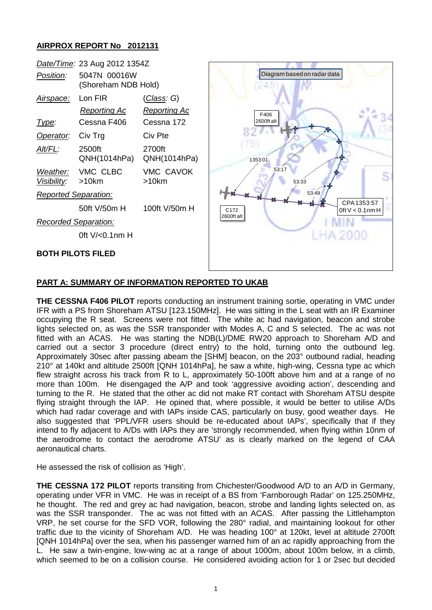# **AIRPROX REPORT No 2012131**

| Date/Time: 23 Aug 2012 1354Z                                                                                              |                                                                                                                                                                                                           |                                                                                                                                        |                                                                                                                                              |
|---------------------------------------------------------------------------------------------------------------------------|-----------------------------------------------------------------------------------------------------------------------------------------------------------------------------------------------------------|----------------------------------------------------------------------------------------------------------------------------------------|----------------------------------------------------------------------------------------------------------------------------------------------|
| Position:                                                                                                                 | 5047N 00016W<br>(Shoreham NDB Hold)                                                                                                                                                                       |                                                                                                                                        | Diagram based on radar data                                                                                                                  |
| <u>Airspace:</u><br><u>Type:</u><br>Operator:<br>Alt/FL:<br>Weather:<br><u>Visibility:</u><br><b>Reported Separation:</b> | Lon FIR<br><b>Reporting Ac</b><br>Cessna F406<br>Civ Trg<br>2500ft<br>QNH(1014hPa)<br>VMC CLBC<br>$>10$ km<br>50ft V/50m H<br><b>Recorded Separation:</b><br>Oft $V/0.1$ nm H<br><b>BOTH PILOTS FILED</b> | <u>(Class</u> : G)<br><b>Reporting Ac</b><br>Cessna 172<br>Civ Pte<br>2700ft<br>QNH(1014hPa)<br>VMC CAVOK<br>$>10$ km<br>100ft V/50m H | F406<br>2600ft alt<br>1353:01<br>53:17<br>53:33<br>53:49<br>CPA 1353:57<br>C <sub>172</sub><br>$0$ ft $V < 0.1$ nm H<br>2600ft alt<br>A 2000 |
|                                                                                                                           |                                                                                                                                                                                                           |                                                                                                                                        |                                                                                                                                              |

# **PART A: SUMMARY OF INFORMATION REPORTED TO UKAB**

**THE CESSNA F406 PILOT** reports conducting an instrument training sortie, operating in VMC under IFR with a PS from Shoreham ATSU [123.150MHz]. He was sitting in the L seat with an IR Examiner occupying the R seat. Screens were not fitted. The white ac had navigation, beacon and strobe lights selected on, as was the SSR transponder with Modes A, C and S selected. The ac was not fitted with an ACAS. He was starting the NDB(L)/DME RW20 approach to Shoreham A/D and carried out a sector 3 procedure (direct entry) to the hold, turning onto the outbound leg. Approximately 30sec after passing abeam the [SHM] beacon, on the 203° outbound radial, heading 210° at 140kt and altitude 2500ft [QNH 1014hPa], he saw a white, high-wing, Cessna type ac which flew straight across his track from R to L, approximately 50-100ft above him and at a range of no more than 100m. He disengaged the A/P and took 'aggressive avoiding action', descending and turning to the R. He stated that the other ac did not make RT contact with Shoreham ATSU despite flying straight through the IAP. He opined that, where possible, it would be better to utilise A/Ds which had radar coverage and with IAPs inside CAS, particularly on busy, good weather days. He also suggested that 'PPL/VFR users should be re-educated about IAPs', specifically that if they intend to fly adjacent to A/Ds with IAPs they are 'strongly recommended, when flying within 10nm of the aerodrome to contact the aerodrome ATSU' as is clearly marked on the legend of CAA aeronautical charts.

He assessed the risk of collision as 'High'.

**THE CESSNA 172 PILOT** reports transiting from Chichester/Goodwood A/D to an A/D in Germany, operating under VFR in VMC. He was in receipt of a BS from 'Farnborough Radar' on 125.250MHz, he thought. The red and grey ac had navigation, beacon, strobe and landing lights selected on, as was the SSR transponder. The ac was not fitted with an ACAS. After passing the Littlehampton VRP, he set course for the SFD VOR, following the 280° radial, and maintaining lookout for other traffic due to the vicinity of Shoreham A/D. He was heading 100° at 120kt, level at altitude 2700ft [QNH 1014hPa] over the sea, when his passenger warned him of an ac rapidly approaching from the L. He saw a twin-engine, low-wing ac at a range of about 1000m, about 100m below, in a climb, which seemed to be on a collision course. He considered avoiding action for 1 or 2sec but decided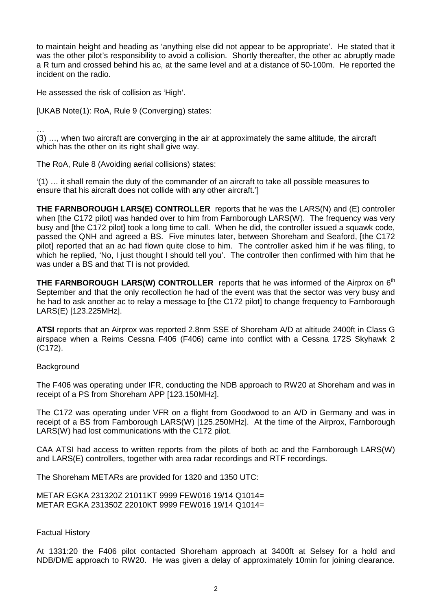to maintain height and heading as 'anything else did not appear to be appropriate'. He stated that it was the other pilot's responsibility to avoid a collision. Shortly thereafter, the other ac abruptly made a R turn and crossed behind his ac, at the same level and at a distance of 50-100m. He reported the incident on the radio.

He assessed the risk of collision as 'High'.

[UKAB Note(1): RoA, Rule 9 (Converging) states:

… (3) …, when two aircraft are converging in the air at approximately the same altitude, the aircraft which has the other on its right shall give way.

The RoA, Rule 8 (Avoiding aerial collisions) states:

'(1) … it shall remain the duty of the commander of an aircraft to take all possible measures to ensure that his aircraft does not collide with any other aircraft.']

**THE FARNBOROUGH LARS(E) CONTROLLER** reports that he was the LARS(N) and (E) controller when [the C172 pilot] was handed over to him from Farnborough LARS(W). The frequency was very busy and [the C172 pilot] took a long time to call. When he did, the controller issued a squawk code, passed the QNH and agreed a BS. Five minutes later, between Shoreham and Seaford, [the C172 pilot] reported that an ac had flown quite close to him. The controller asked him if he was filing, to which he replied, 'No, I just thought I should tell you'. The controller then confirmed with him that he was under a BS and that TI is not provided.

**THE FARNBOROUGH LARS(W) CONTROLLER** reports that he was informed of the Airprox on 6<sup>th</sup> September and that the only recollection he had of the event was that the sector was very busy and he had to ask another ac to relay a message to [the C172 pilot] to change frequency to Farnborough LARS(E) [123.225MHz].

**ATSI** reports that an Airprox was reported 2.8nm SSE of Shoreham A/D at altitude 2400ft in Class G airspace when a Reims Cessna F406 (F406) came into conflict with a Cessna 172S Skyhawk 2 (C172).

**Background** 

The F406 was operating under IFR, conducting the NDB approach to RW20 at Shoreham and was in receipt of a PS from Shoreham APP [123.150MHz].

The C172 was operating under VFR on a flight from Goodwood to an A/D in Germany and was in receipt of a BS from Farnborough LARS(W) [125.250MHz]. At the time of the Airprox, Farnborough LARS(W) had lost communications with the C172 pilot.

CAA ATSI had access to written reports from the pilots of both ac and the Farnborough LARS(W) and LARS(E) controllers, together with area radar recordings and RTF recordings.

The Shoreham METARs are provided for 1320 and 1350 UTC:

METAR EGKA 231320Z 21011KT 9999 FEW016 19/14 Q1014= METAR EGKA 231350Z 22010KT 9999 FEW016 19/14 Q1014=

Factual History

At 1331:20 the F406 pilot contacted Shoreham approach at 3400ft at Selsey for a hold and NDB/DME approach to RW20. He was given a delay of approximately 10min for joining clearance.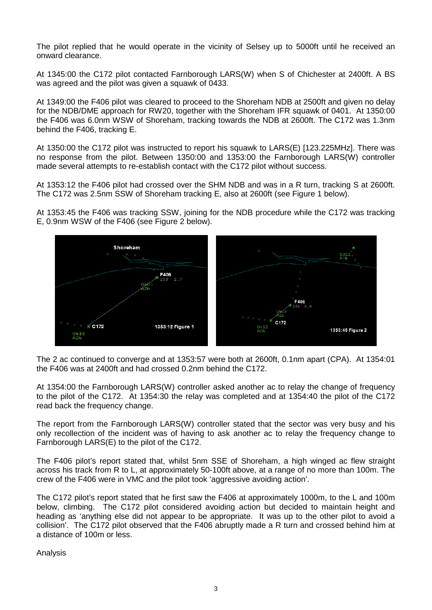The pilot replied that he would operate in the vicinity of Selsey up to 5000ft until he received an onward clearance.

At 1345:00 the C172 pilot contacted Farnborough LARS(W) when S of Chichester at 2400ft. A BS was agreed and the pilot was given a squawk of 0433.

At 1349:00 the F406 pilot was cleared to proceed to the Shoreham NDB at 2500ft and given no delay for the NDB/DME approach for RW20, together with the Shoreham IFR squawk of 0401. At 1350:00 the F406 was 6.0nm WSW of Shoreham, tracking towards the NDB at 2600ft. The C172 was 1.3nm behind the F406, tracking E.

At 1350:00 the C172 pilot was instructed to report his squawk to LARS(E) [123.225MHz]. There was no response from the pilot. Between 1350:00 and 1353:00 the Farnborough LARS(W) controller made several attempts to re-establish contact with the C172 pilot without success.

At 1353:12 the F406 pilot had crossed over the SHM NDB and was in a R turn, tracking S at 2600ft. The C172 was 2.5nm SSW of Shoreham tracking E, also at 2600ft (see Figure 1 below).

At 1353:45 the F406 was tracking SSW, joining for the NDB procedure while the C172 was tracking E, 0.9nm WSW of the F406 (see Figure 2 below).



The 2 ac continued to converge and at 1353:57 were both at 2600ft, 0.1nm apart (CPA). At 1354:01 the F406 was at 2400ft and had crossed 0.2nm behind the C172.

At 1354:00 the Farnborough LARS(W) controller asked another ac to relay the change of frequency to the pilot of the C172. At 1354:30 the relay was completed and at 1354:40 the pilot of the C172 read back the frequency change.

The report from the Farnborough LARS(W) controller stated that the sector was very busy and his only recollection of the incident was of having to ask another ac to relay the frequency change to Farnborough LARS(E) to the pilot of the C172.

The F406 pilot's report stated that, whilst 5nm SSE of Shoreham, a high winged ac flew straight across his track from R to L, at approximately 50-100ft above, at a range of no more than 100m. The crew of the F406 were in VMC and the pilot took 'aggressive avoiding action'.

The C172 pilot's report stated that he first saw the F406 at approximately 1000m, to the L and 100m below, climbing. The C172 pilot considered avoiding action but decided to maintain height and heading as 'anything else did not appear to be appropriate. It was up to the other pilot to avoid a collision'. The C172 pilot observed that the F406 abruptly made a R turn and crossed behind him at a distance of 100m or less.

Analysis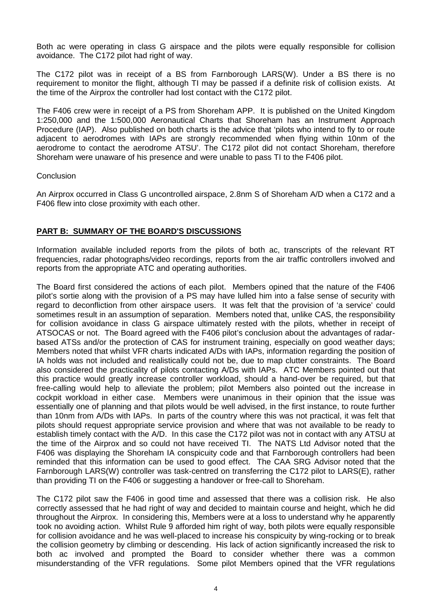Both ac were operating in class G airspace and the pilots were equally responsible for collision avoidance. The C172 pilot had right of way.

The C172 pilot was in receipt of a BS from Farnborough LARS(W). Under a BS there is no requirement to monitor the flight, although TI may be passed if a definite risk of collision exists. At the time of the Airprox the controller had lost contact with the C172 pilot.

The F406 crew were in receipt of a PS from Shoreham APP. It is published on the United Kingdom 1:250,000 and the 1:500,000 Aeronautical Charts that Shoreham has an Instrument Approach Procedure (IAP). Also published on both charts is the advice that 'pilots who intend to fly to or route adjacent to aerodromes with IAPs are strongly recommended when flying within 10nm of the aerodrome to contact the aerodrome ATSU'. The C172 pilot did not contact Shoreham, therefore Shoreham were unaware of his presence and were unable to pass TI to the F406 pilot.

#### **Conclusion**

An Airprox occurred in Class G uncontrolled airspace, 2.8nm S of Shoreham A/D when a C172 and a F406 flew into close proximity with each other.

# **PART B: SUMMARY OF THE BOARD'S DISCUSSIONS**

Information available included reports from the pilots of both ac, transcripts of the relevant RT frequencies, radar photographs/video recordings, reports from the air traffic controllers involved and reports from the appropriate ATC and operating authorities.

The Board first considered the actions of each pilot. Members opined that the nature of the F406 pilot's sortie along with the provision of a PS may have lulled him into a false sense of security with regard to deconfliction from other airspace users. It was felt that the provision of 'a service' could sometimes result in an assumption of separation. Members noted that, unlike CAS, the responsibility for collision avoidance in class G airspace ultimately rested with the pilots, whether in receipt of ATSOCAS or not. The Board agreed with the F406 pilot's conclusion about the advantages of radarbased ATSs and/or the protection of CAS for instrument training, especially on good weather days; Members noted that whilst VFR charts indicated A/Ds with IAPs, information regarding the position of IA holds was not included and realistically could not be, due to map clutter constraints. The Board also considered the practicality of pilots contacting A/Ds with IAPs. ATC Members pointed out that this practice would greatly increase controller workload, should a hand-over be required, but that free-calling would help to alleviate the problem; pilot Members also pointed out the increase in cockpit workload in either case. Members were unanimous in their opinion that the issue was essentially one of planning and that pilots would be well advised, in the first instance, to route further than 10nm from A/Ds with IAPs. In parts of the country where this was not practical, it was felt that pilots should request appropriate service provision and where that was not available to be ready to establish timely contact with the A/D. In this case the C172 pilot was not in contact with any ATSU at the time of the Airprox and so could not have received TI. The NATS Ltd Advisor noted that the F406 was displaying the Shoreham IA conspicuity code and that Farnborough controllers had been reminded that this information can be used to good effect. The CAA SRG Advisor noted that the Farnborough LARS(W) controller was task-centred on transferring the C172 pilot to LARS(E), rather than providing TI on the F406 or suggesting a handover or free-call to Shoreham.

The C172 pilot saw the F406 in good time and assessed that there was a collision risk. He also correctly assessed that he had right of way and decided to maintain course and height, which he did throughout the Airprox. In considering this, Members were at a loss to understand why he apparently took no avoiding action. Whilst Rule 9 afforded him right of way, both pilots were equally responsible for collision avoidance and he was well-placed to increase his conspicuity by wing-rocking or to break the collision geometry by climbing or descending. His lack of action significantly increased the risk to both ac involved and prompted the Board to consider whether there was a common misunderstanding of the VFR regulations. Some pilot Members opined that the VFR regulations